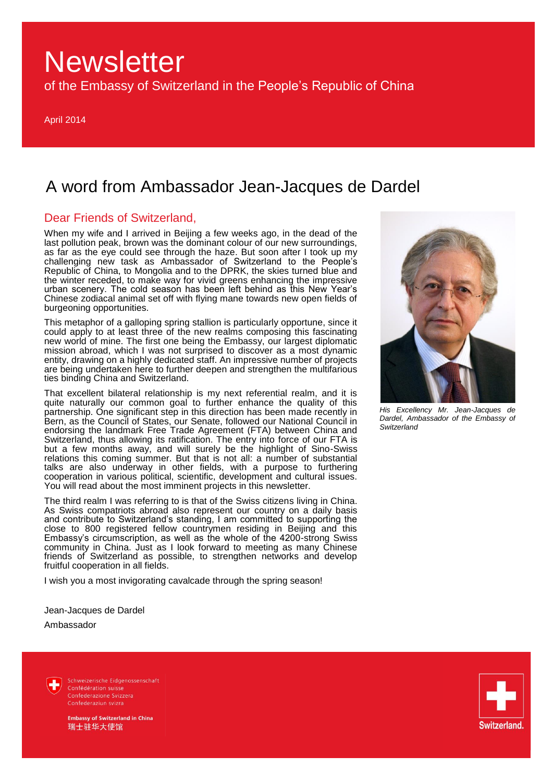of the Embassy of Switzerland in the People's Republic of China

April 2014

## A word from Ambassador Jean-Jacques de Dardel

## Dear Friends of Switzerland,

When my wife and I arrived in Beijing a few weeks ago, in the dead of the last pollution peak, brown was the dominant colour of our new surroundings, as far as the eye could see through the haze. But soon after I took up my challenging new task as Ambassador of Switzerland to the People's Republic of China, to Mongolia and to the DPRK, the skies turned blue and the winter receded, to make way for vivid greens enhancing the impressive urban scenery. The cold season has been left behind as this New Year's Chinese zodiacal animal set off with flying mane towards new open fields of burgeoning opportunities.

This metaphor of a galloping spring stallion is particularly opportune, since it could apply to at least three of the new realms composing this fascinating new world of mine. The first one being the Embassy, our largest diplomatic mission abroad, which I was not surprised to discover as a most dynamic entity, drawing on a highly dedicated staff. An impressive number of projects are being undertaken here to further deepen and strengthen the multifarious ties binding China and Switzerland.

That excellent bilateral relationship is my next referential realm, and it is quite naturally our common goal to further enhance the quality of this partnership. One significant step in this direction has been made recently in Bern, as the Council of States, our Senate, followed our National Council in endorsing the landmark Free Trade Agreement (FTA) between China and Switzerland, thus allowing its ratification. The entry into force of our FTA is but a few months away, and will surely be the highlight of Sino-Swiss relations this coming summer. But that is not all: a number of substantial talks are also underway in other fields, with a purpose to furthering cooperation in various political, scientific, development and cultural issues. You will read about the most imminent projects in this newsletter.

The third realm I was referring to is that of the Swiss citizens living in China. As Swiss compatriots abroad also represent our country on a daily basis and contribute to Switzerland's standing, I am committed to supporting the close to 800 registered fellow countrymen residing in Beijing and this Embassy's circumscription, as well as the whole of the 4200-strong Swiss community in China. Just as I look forward to meeting as many Chinese friends of Switzerland as possible, to strengthen networks and develop fruitful cooperation in all fields.

I wish you a most invigorating cavalcade through the spring season!

Jean-Jacques de Dardel Ambassador

> Schweizerische Eidgenossenschaft Confédération suisse Confederazione Svizzera Confederaziun svizra



*His Excellency Mr. Jean-Jacques de Dardel, Ambassador of the Embassy of Switzerland*

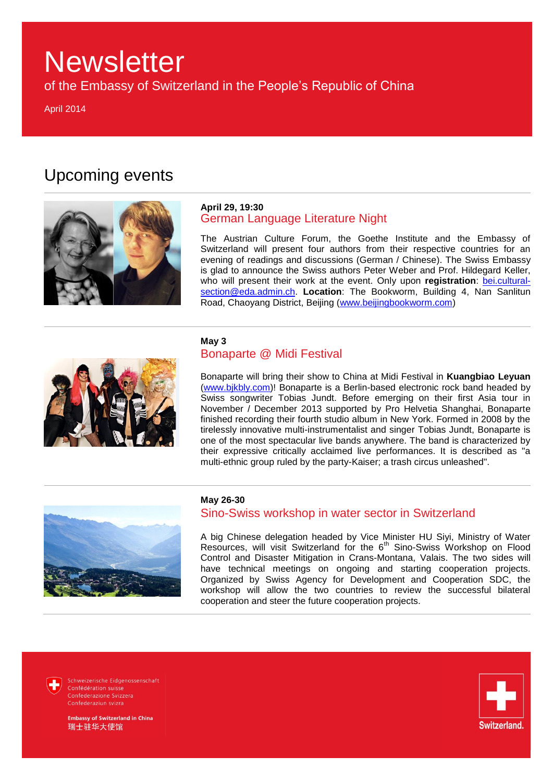of the Embassy of Switzerland in the People's Republic of China

April 2014

## Upcoming events



### **April 29, 19:30** German Language Literature Night

The Austrian Culture Forum, the Goethe Institute and the Embassy of Switzerland will present four authors from their respective countries for an evening of readings and discussions (German / Chinese). The Swiss Embassy is glad to announce the Swiss authors Peter Weber and Prof. Hildegard Keller, who will present their work at the event. Only upon **registration**: [bei.cultural](mailto:bei.cultural-section@eda.admin.ch)[section@eda.admin.ch.](mailto:bei.cultural-section@eda.admin.ch) **Location**: The Bookworm, Building 4, Nan Sanlitun Road, Chaoyang District, Beijing [\(www.beijingbookworm.com\)](http://www.beijingbookworm.com/)



### **May 3**  Bonaparte @ Midi Festival

Bonaparte will bring their show to China at Midi Festival in **Kuangbiao Leyuan** [\(www.bjkbly.com\)](http://www.bjkbly.com/)! Bonaparte is a Berlin-based electronic rock band headed by Swiss songwriter Tobias Jundt. Before emerging on their first Asia tour in November / December 2013 supported by Pro Helvetia Shanghai, Bonaparte finished recording their fourth studio album in New York. Formed in 2008 by the tirelessly innovative multi-instrumentalist and singer Tobias Jundt, Bonaparte is one of the most spectacular live bands anywhere. The band is characterized by their expressive critically acclaimed live performances. It is described as "a multi-ethnic group ruled by the party-Kaiser; a trash circus unleashed".



### **May 26-30**

## Sino-Swiss workshop in water sector in Switzerland

A big Chinese delegation headed by Vice Minister HU Siyi, Ministry of Water Resources, will visit Switzerland for the 6<sup>th</sup> Sino-Swiss Workshop on Flood Control and Disaster Mitigation in Crans-Montana, Valais. The two sides will have technical meetings on ongoing and starting cooperation projects. Organized by Swiss Agency for Development and Cooperation SDC, the workshop will allow the two countries to review the successful bilateral cooperation and steer the future cooperation projects.

Schweizerische Eidgenossenschaft Confédération suisse Confederazione Svizzera Confederaziun svizra



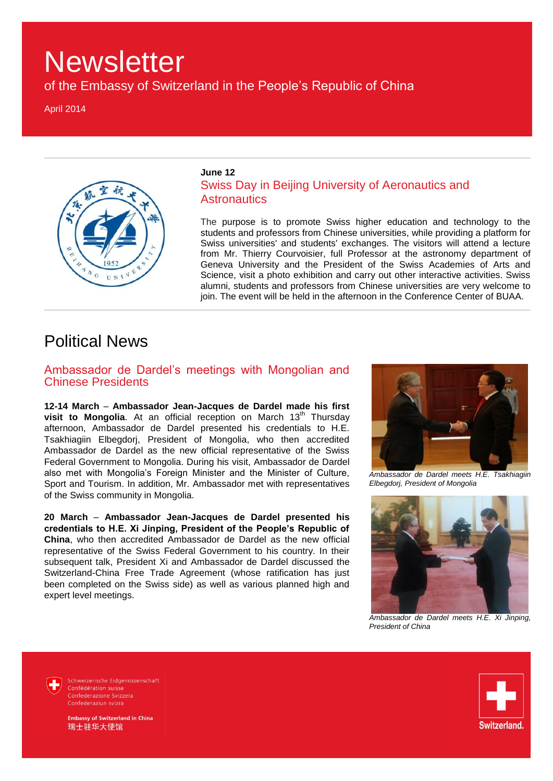of the Embassy of Switzerland in the People's Republic of China

April 2014



### **June 12**

## Swiss Day in Beijing University of Aeronautics and **Astronautics**

The purpose is to promote Swiss higher education and technology to the students and professors from Chinese universities, while providing a platform for Swiss universities' and students' exchanges. The visitors will attend a lecture from Mr. Thierry Courvoisier, full Professor at the astronomy department of Geneva University and the President of the Swiss Academies of Arts and Science, visit a photo exhibition and carry out other interactive activities. Swiss alumni, students and professors from Chinese universities are very welcome to join. The event will be held in the afternoon in the Conference Center of BUAA.

## Political News

Ambassador de Dardel's meetings with Mongolian and Chinese Presidents

**12-14 March** – **Ambassador Jean-Jacques de Dardel made his first visit to Mongolia.** At an official reception on March 13<sup>th</sup> Thursday afternoon, Ambassador de Dardel presented his credentials to H.E. Tsakhiagiin Elbegdorj, President of Mongolia, who then accredited Ambassador de Dardel as the new official representative of the Swiss Federal Government to Mongolia. During his visit, Ambassador de Dardel also met with Mongolia's Foreign Minister and the Minister of Culture, Sport and Tourism. In addition, Mr. Ambassador met with representatives of the Swiss community in Mongolia.

**20 March** – **Ambassador Jean-Jacques de Dardel presented his credentials to H.E. Xi Jinping, President of the People's Republic of China**, who then accredited Ambassador de Dardel as the new official representative of the Swiss Federal Government to his country. In their subsequent talk, President Xi and Ambassador de Dardel discussed the Switzerland-China Free Trade Agreement (whose ratification has just been completed on the Swiss side) as well as various planned high and expert level meetings.



*Ambassador de Dardel meets H.E. Tsakhiagiin Elbegdorj, President of Mongolia*



*Ambassador de Dardel meets H.E. Xi Jinping, President of China*

Schweizerische Eidgenossenschaft Confédération suisse Confederazione Svizzera Confederaziun svizra

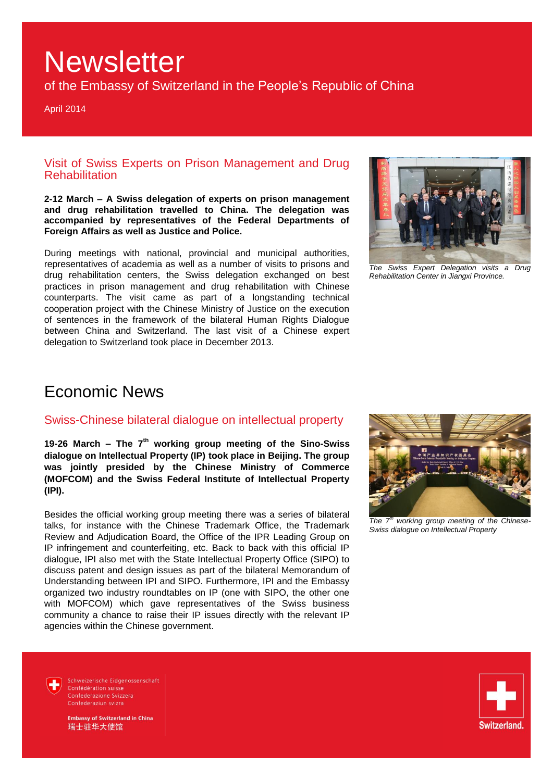of the Embassy of Switzerland in the People's Republic of China

April 2014

## Visit of Swiss Experts on Prison Management and Drug **Rehabilitation**

**2-12 March – A Swiss delegation of experts on prison management and drug rehabilitation travelled to China. The delegation was accompanied by representatives of the Federal Departments of Foreign Affairs as well as Justice and Police.** 

During meetings with national, provincial and municipal authorities, representatives of academia as well as a number of visits to prisons and drug rehabilitation centers, the Swiss delegation exchanged on best practices in prison management and drug rehabilitation with Chinese counterparts. The visit came as part of a longstanding technical cooperation project with the Chinese Ministry of Justice on the execution of sentences in the framework of the bilateral Human Rights Dialogue between China and Switzerland. The last visit of a Chinese expert delegation to Switzerland took place in December 2013.



*The Swiss Expert Delegation visits a Drug Rehabilitation Center in Jiangxi Province.*

## Economic News

## Swiss-Chinese bilateral dialogue on intellectual property

**19-26 March – The 7th working group meeting of the Sino-Swiss dialogue on Intellectual Property (IP) took place in Beijing. The group was jointly presided by the Chinese Ministry of Commerce (MOFCOM) and the Swiss Federal Institute of Intellectual Property (IPI).**

Besides the official working group meeting there was a series of bilateral talks, for instance with the Chinese Trademark Office, the Trademark Review and Adjudication Board, the Office of the IPR Leading Group on IP infringement and counterfeiting, etc. Back to back with this official IP dialogue, IPI also met with the State Intellectual Property Office (SIPO) to discuss patent and design issues as part of the bilateral Memorandum of Understanding between IPI and SIPO. Furthermore, IPI and the Embassy organized two industry roundtables on IP (one with SIPO, the other one with MOFCOM) which gave representatives of the Swiss business community a chance to raise their IP issues directly with the relevant IP agencies within the Chinese government.



*The 7th working group meeting of the Chinese-Swiss dialogue on Intellectual Property*

Schweizerische Eidgenossenschaft Confédération suisse Confederazione Svizzera Confederaziun svizra

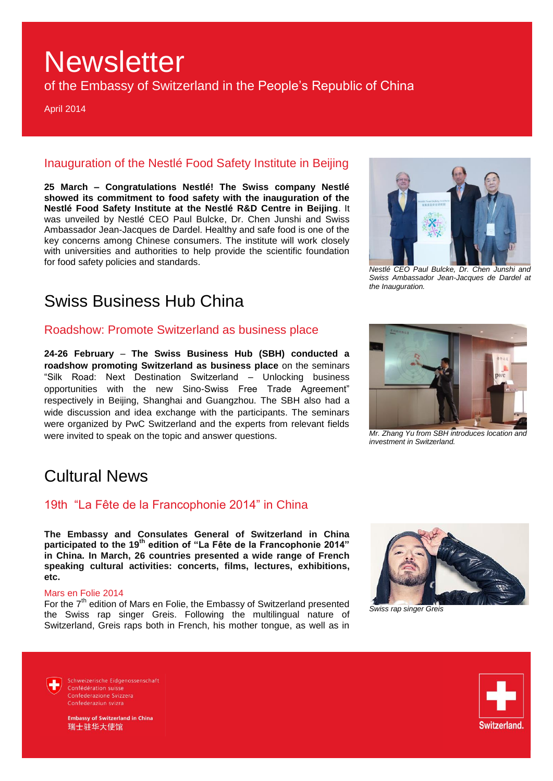of the Embassy of Switzerland in the People's Republic of China

April 2014

## Inauguration of the Nestlé Food Safety Institute in Beijing

**25 March – Congratulations Nestlé! The Swiss company Nestlé showed its commitment to food safety with the inauguration of the Nestlé Food Safety Institute at the Nestlé R&D Centre in Beijing**. It was unveiled by Nestlé CEO Paul Bulcke, Dr. Chen Junshi and Swiss Ambassador Jean-Jacques de Dardel. Healthy and safe food is one of the key concerns among Chinese consumers. The institute will work closely with universities and authorities to help provide the scientific foundation for food safety policies and standards.

## Swiss Business Hub China

## Roadshow: Promote Switzerland as business place

**24-26 February** – **The Swiss Business Hub (SBH) conducted a roadshow promoting Switzerland as business place** on the seminars "Silk Road: Next Destination Switzerland – Unlocking business opportunities with the new Sino-Swiss Free Trade Agreement" respectively in Beijing, Shanghai and Guangzhou. The SBH also had a wide discussion and idea exchange with the participants. The seminars were organized by PwC Switzerland and the experts from relevant fields were invited to speak on the topic and answer questions.

*Nestlé CEO Paul Bulcke, Dr. Chen Junshi and Swiss Ambassador Jean-Jacques de Dardel at the Inauguration.*



*investment in Switzerland.*

## Cultural News

## 19th "La Fête de la Francophonie 2014" in China

**The Embassy and Consulates General of Switzerland in China participated to the 19th edition of "La Fête de la Francophonie 2014" in China. In March, 26 countries presented a wide range of French speaking cultural activities: concerts, films, lectures, exhibitions, etc.**

### Mars en Folie 2014

For the 7<sup>th</sup> edition of Mars en Folie, the Embassy of Switzerland presented the Swiss rap singer Greis. Following the multilingual nature of Switzerland, Greis raps both in French, his mother tongue, as well as in



*Swiss rap singer Greis* 



Schweizerische Eidgenossenschaft Confédération suisse Confederaziun svizra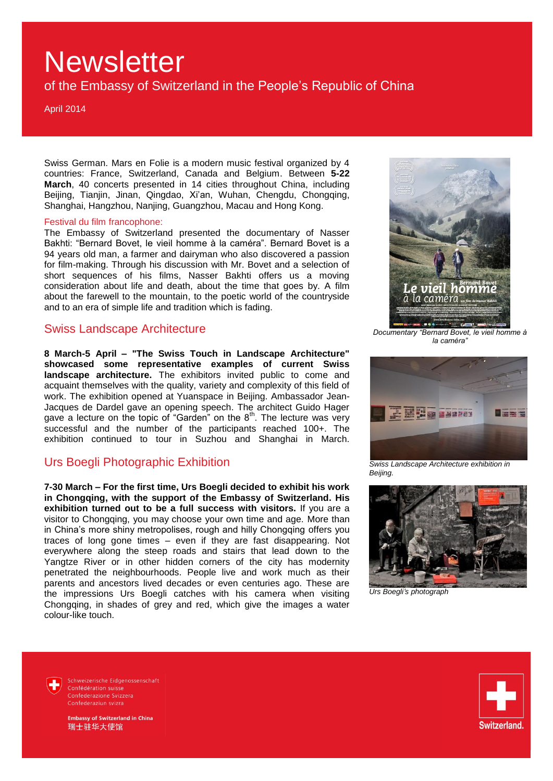of the Embassy of Switzerland in the People's Republic of China

April 2014

Swiss German. Mars en Folie is a modern music festival organized by 4 countries: France, Switzerland, Canada and Belgium. Between **5-22 March**, 40 concerts presented in 14 cities throughout China, including Beijing, Tianjin, Jinan, Qingdao, Xi'an, Wuhan, Chengdu, Chongqing, Shanghai, Hangzhou, Nanjing, Guangzhou, Macau and Hong Kong.

### Festival du film francophone:

The Embassy of Switzerland presented the documentary of Nasser Bakhti: "Bernard Bovet, le vieil homme à la caméra". Bernard Bovet is a 94 years old man, a farmer and dairyman who also discovered a passion for film-making. Through his discussion with Mr. Bovet and a selection of short sequences of his films, Nasser Bakhti offers us a moving consideration about life and death, about the time that goes by. A film about the farewell to the mountain, to the poetic world of the countryside and to an era of simple life and tradition which is fading.

## Swiss Landscape Architecture

**8 March-5 April – "The Swiss Touch in Landscape Architecture" showcased some representative examples of current Swiss landscape architecture.** The exhibitors invited public to come and acquaint themselves with the quality, variety and complexity of this field of work. The exhibition opened at Yuanspace in Beijing. Ambassador Jean-Jacques de Dardel gave an opening speech. The architect Guido Hager gave a lecture on the topic of "Garden" on the  $8<sup>th</sup>$ . The lecture was very successful and the number of the participants reached 100+. The exhibition continued to tour in Suzhou and Shanghai in March.

## Urs Boegli Photographic Exhibition

**7-30 March – For the first time, Urs Boegli decided to exhibit his work in Chongqing, with the support of the Embassy of Switzerland. His exhibition turned out to be a full success with visitors.** If you are a visitor to Chongqing, you may choose your own time and age. More than in China's more shiny metropolises, rough and hilly Chongqing offers you traces of long gone times – even if they are fast disappearing. Not everywhere along the steep roads and stairs that lead down to the Yangtze River or in other hidden corners of the city has modernity penetrated the neighbourhoods. People live and work much as their parents and ancestors lived decades or even centuries ago. These are the impressions Urs Boegli catches with his camera when visiting Chongqing, in shades of grey and red, which give the images a water colour-like touch.



*Documentary "Bernard Bovet, le vieil homme à la caméra"*



*Swiss Landscape Architecture exhibition in Beijing.*



*Urs Boegli's photograph*

Schweizerische Eidgenossenschaft Confédération suisse Confederazione Svizzera Confederaziun svizra

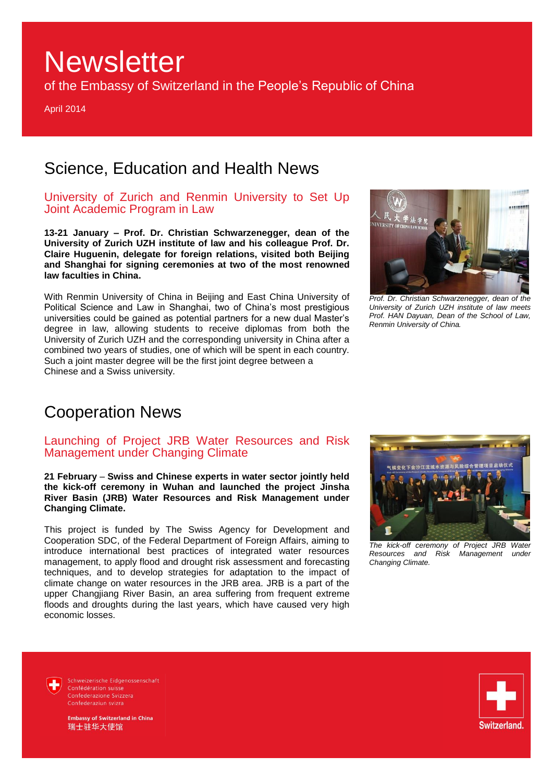of the Embassy of Switzerland in the People's Republic of China

April 2014

## Science, Education and Health News

## University of Zurich and Renmin University to Set Up Joint Academic Program in Law

**13-21 January – Prof. Dr. Christian Schwarzenegger, dean of the University of Zurich UZH institute of law and his colleague Prof. Dr. Claire Huguenin, delegate for foreign relations, visited both Beijing and Shanghai for signing ceremonies at two of the most renowned law faculties in China.**

With Renmin University of China in Beijing and East China University of Political Science and Law in Shanghai, two of China's most prestigious universities could be gained as potential partners for a new dual Master's degree in law, allowing students to receive diplomas from both the University of Zurich UZH and the corresponding university in China after a combined two years of studies, one of which will be spent in each country. Such a joint master degree will be the first joint degree between a Chinese and a Swiss university.



*Prof. Dr. Christian Schwarzenegger, dean of the University of Zurich UZH institute of law meets Prof. HAN Dayuan, Dean of the School of Law, Renmin University of China.*

## Cooperation News

## Launching of Project JRB Water Resources and Risk Management under Changing Climate

**21 February** – **Swiss and Chinese experts in water sector jointly held the kick-off ceremony in Wuhan and launched the project Jinsha River Basin (JRB) Water Resources and Risk Management under Changing Climate.** 

This project is funded by The Swiss Agency for Development and Cooperation SDC, of the Federal Department of Foreign Affairs, aiming to introduce international best practices of integrated water resources management, to apply flood and drought risk assessment and forecasting techniques, and to develop strategies for adaptation to the impact of climate change on water resources in the JRB area. JRB is a part of the upper Changjiang River Basin, an area suffering from frequent extreme floods and droughts during the last years, which have caused very high economic losses.



*The kick-off ceremony of Project JRB Water Resources and Risk Management under Changing Climate.*

Schweizerische Eidgenossenschaft Confédération suisse Confederazione Svizzera Confederaziun svizra